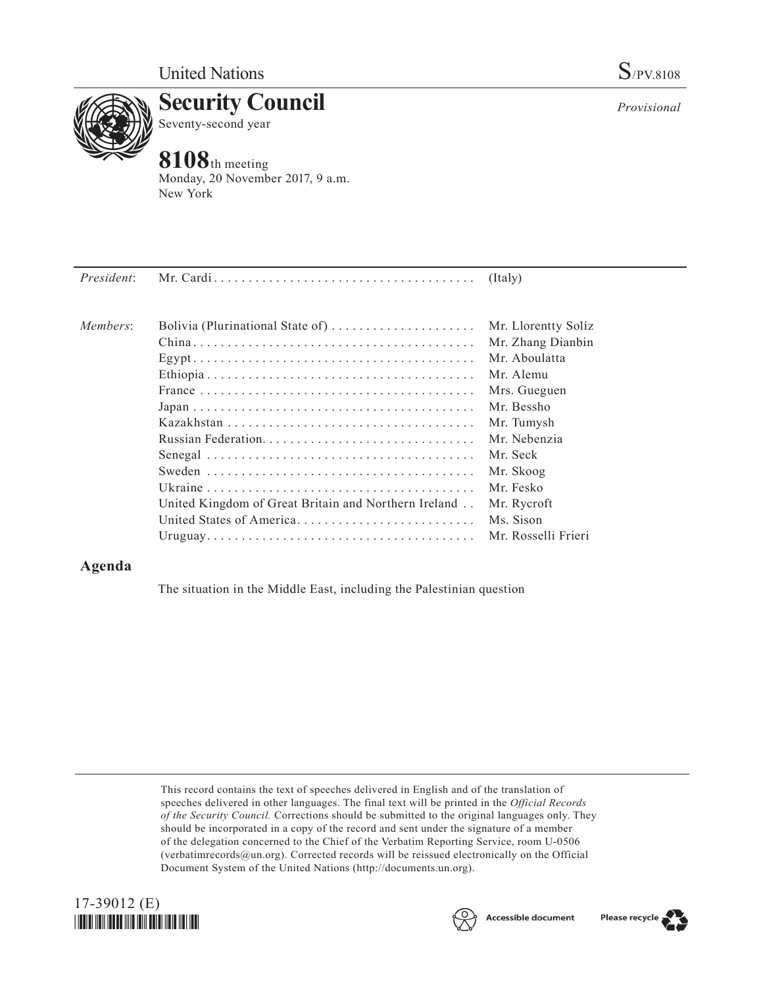

**Security Council** Seventy-second year

## **8108**th meeting

Monday, 20 November 2017, 9 a.m. New York

| President: |                                                                        | (Italy)             |
|------------|------------------------------------------------------------------------|---------------------|
| Members:   | Bolivia (Plurinational State of) $\dots \dots \dots \dots \dots \dots$ | Mr. Llorentty Solíz |
|            |                                                                        | Mr. Zhang Dianbin   |
|            |                                                                        | Mr. Aboulatta       |
|            |                                                                        | Mr Alemu            |
|            |                                                                        | Mrs. Gueguen        |
|            |                                                                        | Mr. Bessho          |
|            |                                                                        | Mr. Tumysh          |
|            |                                                                        | Mr. Nebenzia        |
|            |                                                                        | Mr. Seck            |
|            |                                                                        | Mr. Skoog           |
|            |                                                                        | Mr. Fesko           |
|            | United Kingdom of Great Britain and Northern Ireland                   | Mr. Rycroft         |
|            | United States of America                                               | Ms. Sison           |

## **Agenda**

The situation in the Middle East, including the Palestinian question

Uruguay. . Mr. Rosselli Frieri

This record contains the text of speeches delivered in English and of the translation of speeches delivered in other languages. The final text will be printed in the *Official Records of the Security Council.* Corrections should be submitted to the original languages only. They should be incorporated in a copy of the record and sent under the signature of a member of the delegation concerned to the Chief of the Verbatim Reporting Service, room U-0506 (verbatimrecords $@un.org$ ). Corrected records will be reissued electronically on the Official Document System of the United Nations [\(http://documents.un.org\)](http://documents.un.org).





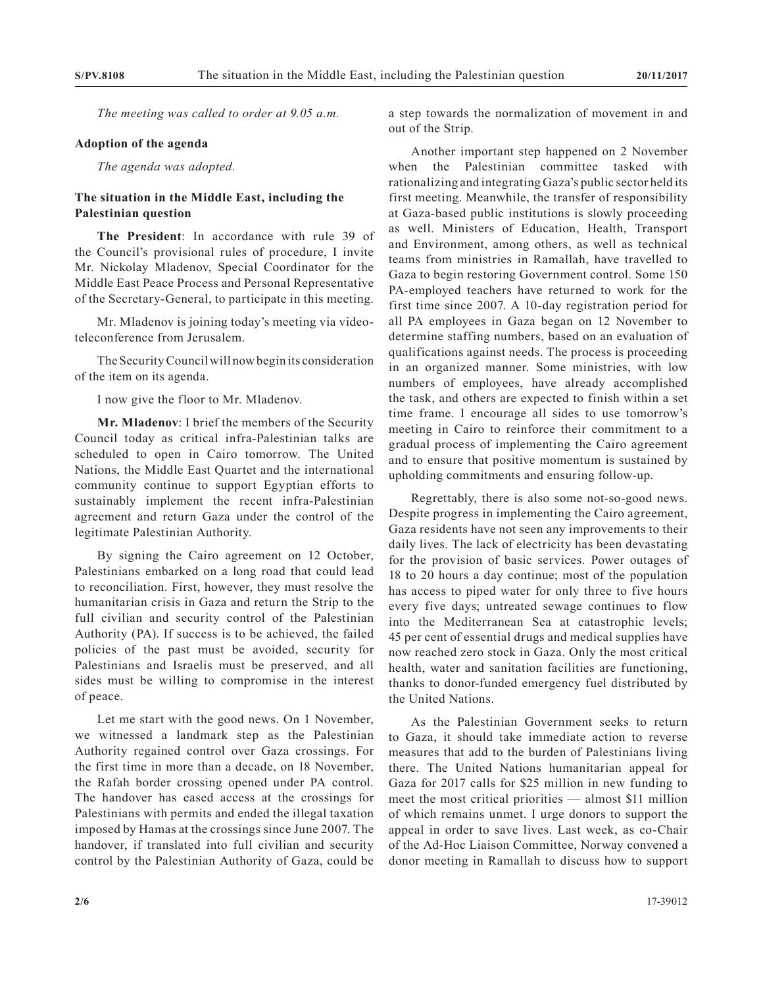*The meeting was called to order at 9.05 a.m.*

## **Adoption of the agenda**

*The agenda was adopted.*

## **The situation in the Middle East, including the Palestinian question**

**The President**: In accordance with rule 39 of the Council's provisional rules of procedure, I invite Mr. Nickolay Mladenov, Special Coordinator for the Middle East Peace Process and Personal Representative of the Secretary-General, to participate in this meeting.

Mr. Mladenov is joining today's meeting via videoteleconference from Jerusalem.

The Security Council will now begin its consideration of the item on its agenda.

I now give the floor to Mr. Mladenov.

**Mr. Mladenov**: I brief the members of the Security Council today as critical infra-Palestinian talks are scheduled to open in Cairo tomorrow. The United Nations, the Middle East Quartet and the international community continue to support Egyptian efforts to sustainably implement the recent infra-Palestinian agreement and return Gaza under the control of the legitimate Palestinian Authority.

By signing the Cairo agreement on 12 October, Palestinians embarked on a long road that could lead to reconciliation. First, however, they must resolve the humanitarian crisis in Gaza and return the Strip to the full civilian and security control of the Palestinian Authority (PA). If success is to be achieved, the failed policies of the past must be avoided, security for Palestinians and Israelis must be preserved, and all sides must be willing to compromise in the interest of peace.

Let me start with the good news. On 1 November, we witnessed a landmark step as the Palestinian Authority regained control over Gaza crossings. For the first time in more than a decade, on 18 November, the Rafah border crossing opened under PA control. The handover has eased access at the crossings for Palestinians with permits and ended the illegal taxation imposed by Hamas at the crossings since June 2007. The handover, if translated into full civilian and security control by the Palestinian Authority of Gaza, could be

a step towards the normalization of movement in and out of the Strip.

Another important step happened on 2 November when the Palestinian committee tasked with rationalizing and integrating Gaza's public sector held its first meeting. Meanwhile, the transfer of responsibility at Gaza-based public institutions is slowly proceeding as well. Ministers of Education, Health, Transport and Environment, among others, as well as technical teams from ministries in Ramallah, have travelled to Gaza to begin restoring Government control. Some 150 PA-employed teachers have returned to work for the first time since 2007. A 10-day registration period for all PA employees in Gaza began on 12 November to determine staffing numbers, based on an evaluation of qualifications against needs. The process is proceeding in an organized manner. Some ministries, with low numbers of employees, have already accomplished the task, and others are expected to finish within a set time frame. I encourage all sides to use tomorrow's meeting in Cairo to reinforce their commitment to a gradual process of implementing the Cairo agreement and to ensure that positive momentum is sustained by upholding commitments and ensuring follow-up.

Regrettably, there is also some not-so-good news. Despite progress in implementing the Cairo agreement, Gaza residents have not seen any improvements to their daily lives. The lack of electricity has been devastating for the provision of basic services. Power outages of 18 to 20 hours a day continue; most of the population has access to piped water for only three to five hours every five days; untreated sewage continues to flow into the Mediterranean Sea at catastrophic levels; 45 per cent of essential drugs and medical supplies have now reached zero stock in Gaza. Only the most critical health, water and sanitation facilities are functioning, thanks to donor-funded emergency fuel distributed by the United Nations.

As the Palestinian Government seeks to return to Gaza, it should take immediate action to reverse measures that add to the burden of Palestinians living there. The United Nations humanitarian appeal for Gaza for 2017 calls for \$25 million in new funding to meet the most critical priorities — almost \$11 million of which remains unmet. I urge donors to support the appeal in order to save lives. Last week, as co-Chair of the Ad-Hoc Liaison Committee, Norway convened a donor meeting in Ramallah to discuss how to support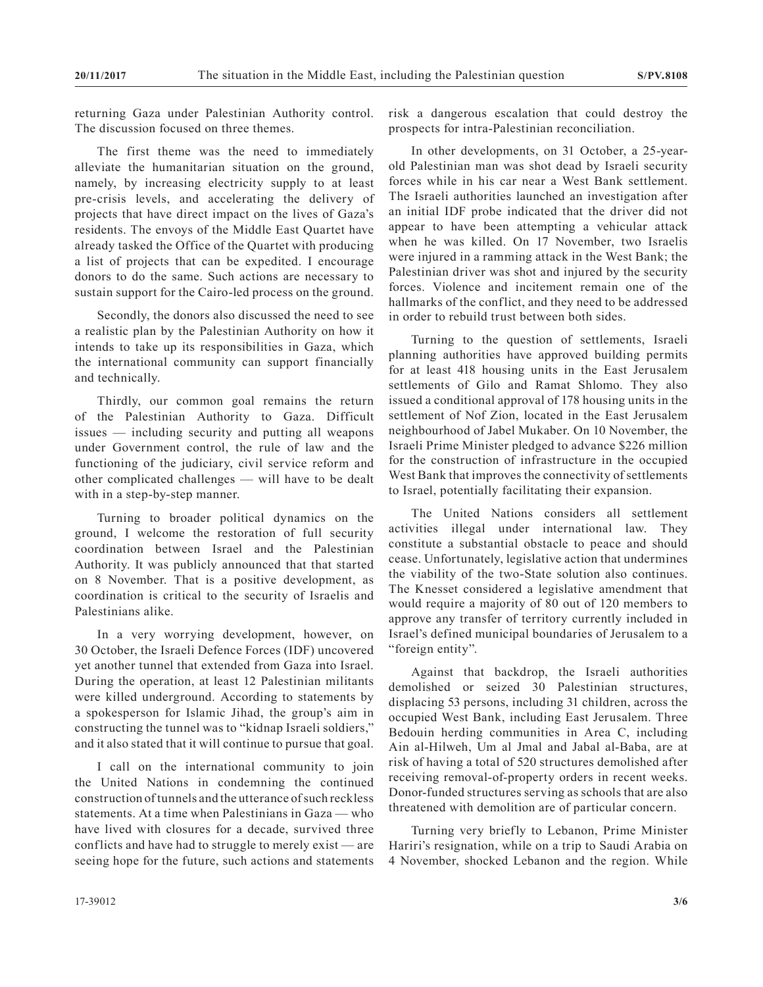returning Gaza under Palestinian Authority control. The discussion focused on three themes.

The first theme was the need to immediately alleviate the humanitarian situation on the ground, namely, by increasing electricity supply to at least pre-crisis levels, and accelerating the delivery of projects that have direct impact on the lives of Gaza's residents. The envoys of the Middle East Quartet have already tasked the Office of the Quartet with producing a list of projects that can be expedited. I encourage donors to do the same. Such actions are necessary to sustain support for the Cairo-led process on the ground.

Secondly, the donors also discussed the need to see a realistic plan by the Palestinian Authority on how it intends to take up its responsibilities in Gaza, which the international community can support financially and technically.

Thirdly, our common goal remains the return of the Palestinian Authority to Gaza. Difficult issues — including security and putting all weapons under Government control, the rule of law and the functioning of the judiciary, civil service reform and other complicated challenges — will have to be dealt with in a step-by-step manner.

Turning to broader political dynamics on the ground, I welcome the restoration of full security coordination between Israel and the Palestinian Authority. It was publicly announced that that started on 8 November. That is a positive development, as coordination is critical to the security of Israelis and Palestinians alike.

In a very worrying development, however, on 30 October, the Israeli Defence Forces (IDF) uncovered yet another tunnel that extended from Gaza into Israel. During the operation, at least 12 Palestinian militants were killed underground. According to statements by a spokesperson for Islamic Jihad, the group's aim in constructing the tunnel was to "kidnap Israeli soldiers," and it also stated that it will continue to pursue that goal.

I call on the international community to join the United Nations in condemning the continued construction of tunnels and the utterance of such reckless statements. At a time when Palestinians in Gaza — who have lived with closures for a decade, survived three conflicts and have had to struggle to merely exist — are seeing hope for the future, such actions and statements risk a dangerous escalation that could destroy the prospects for intra-Palestinian reconciliation.

In other developments, on 31 October, a 25-yearold Palestinian man was shot dead by Israeli security forces while in his car near a West Bank settlement. The Israeli authorities launched an investigation after an initial IDF probe indicated that the driver did not appear to have been attempting a vehicular attack when he was killed. On 17 November, two Israelis were injured in a ramming attack in the West Bank; the Palestinian driver was shot and injured by the security forces. Violence and incitement remain one of the hallmarks of the conflict, and they need to be addressed in order to rebuild trust between both sides.

Turning to the question of settlements, Israeli planning authorities have approved building permits for at least 418 housing units in the East Jerusalem settlements of Gilo and Ramat Shlomo. They also issued a conditional approval of 178 housing units in the settlement of Nof Zion, located in the East Jerusalem neighbourhood of Jabel Mukaber. On 10 November, the Israeli Prime Minister pledged to advance \$226 million for the construction of infrastructure in the occupied West Bank that improves the connectivity of settlements to Israel, potentially facilitating their expansion.

The United Nations considers all settlement activities illegal under international law. They constitute a substantial obstacle to peace and should cease. Unfortunately, legislative action that undermines the viability of the two-State solution also continues. The Knesset considered a legislative amendment that would require a majority of 80 out of 120 members to approve any transfer of territory currently included in Israel's defined municipal boundaries of Jerusalem to a "foreign entity".

Against that backdrop, the Israeli authorities demolished or seized 30 Palestinian structures, displacing 53 persons, including 31 children, across the occupied West Bank, including East Jerusalem. Three Bedouin herding communities in Area C, including Ain al-Hilweh, Um al Jmal and Jabal al-Baba, are at risk of having a total of 520 structures demolished after receiving removal-of-property orders in recent weeks. Donor-funded structures serving as schools that are also threatened with demolition are of particular concern.

Turning very briefly to Lebanon, Prime Minister Hariri's resignation, while on a trip to Saudi Arabia on 4 November, shocked Lebanon and the region. While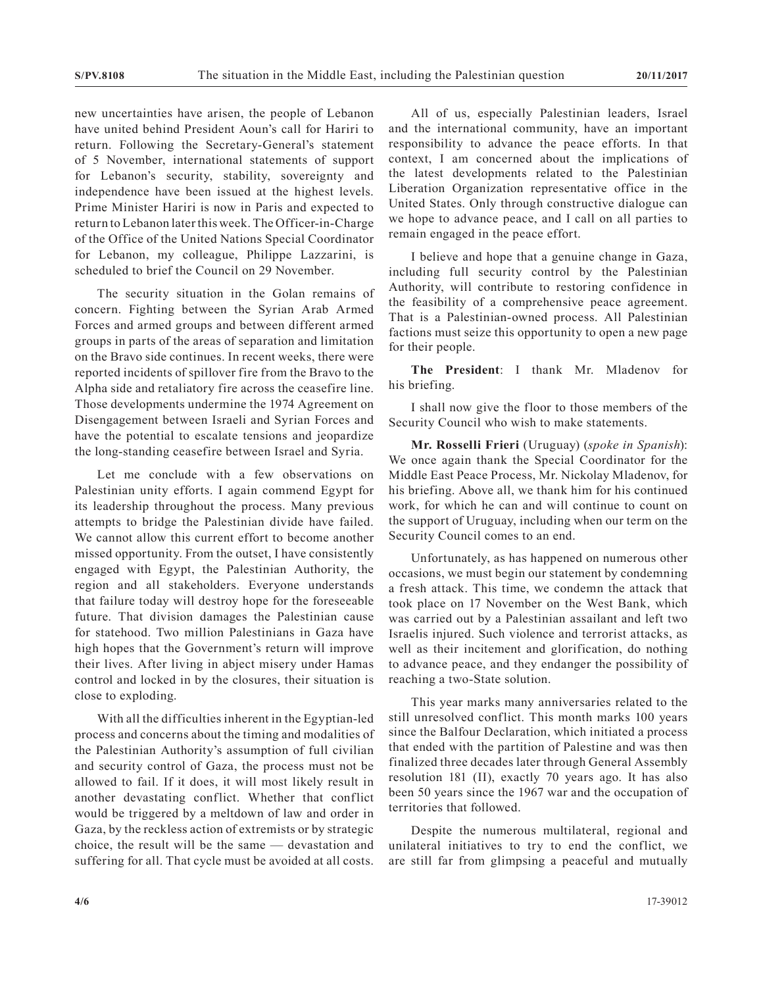new uncertainties have arisen, the people of Lebanon have united behind President Aoun's call for Hariri to return. Following the Secretary-General's statement of 5 November, international statements of support for Lebanon's security, stability, sovereignty and independence have been issued at the highest levels. Prime Minister Hariri is now in Paris and expected to return to Lebanon later this week. The Officer-in-Charge of the Office of the United Nations Special Coordinator for Lebanon, my colleague, Philippe Lazzarini, is scheduled to brief the Council on 29 November.

The security situation in the Golan remains of concern. Fighting between the Syrian Arab Armed Forces and armed groups and between different armed groups in parts of the areas of separation and limitation on the Bravo side continues. In recent weeks, there were reported incidents of spillover fire from the Bravo to the Alpha side and retaliatory fire across the ceasefire line. Those developments undermine the 1974 Agreement on Disengagement between Israeli and Syrian Forces and have the potential to escalate tensions and jeopardize the long-standing ceasefire between Israel and Syria.

Let me conclude with a few observations on Palestinian unity efforts. I again commend Egypt for its leadership throughout the process. Many previous attempts to bridge the Palestinian divide have failed. We cannot allow this current effort to become another missed opportunity. From the outset, I have consistently engaged with Egypt, the Palestinian Authority, the region and all stakeholders. Everyone understands that failure today will destroy hope for the foreseeable future. That division damages the Palestinian cause for statehood. Two million Palestinians in Gaza have high hopes that the Government's return will improve their lives. After living in abject misery under Hamas control and locked in by the closures, their situation is close to exploding.

With all the difficulties inherent in the Egyptian-led process and concerns about the timing and modalities of the Palestinian Authority's assumption of full civilian and security control of Gaza, the process must not be allowed to fail. If it does, it will most likely result in another devastating conflict. Whether that conflict would be triggered by a meltdown of law and order in Gaza, by the reckless action of extremists or by strategic choice, the result will be the same — devastation and suffering for all. That cycle must be avoided at all costs.

All of us, especially Palestinian leaders, Israel and the international community, have an important responsibility to advance the peace efforts. In that context, I am concerned about the implications of the latest developments related to the Palestinian Liberation Organization representative office in the United States. Only through constructive dialogue can we hope to advance peace, and I call on all parties to remain engaged in the peace effort.

I believe and hope that a genuine change in Gaza, including full security control by the Palestinian Authority, will contribute to restoring confidence in the feasibility of a comprehensive peace agreement. That is a Palestinian-owned process. All Palestinian factions must seize this opportunity to open a new page for their people.

**The President**: I thank Mr. Mladenov for his briefing.

I shall now give the floor to those members of the Security Council who wish to make statements.

**Mr. Rosselli Frieri** (Uruguay) (*spoke in Spanish*): We once again thank the Special Coordinator for the Middle East Peace Process, Mr. Nickolay Mladenov, for his briefing. Above all, we thank him for his continued work, for which he can and will continue to count on the support of Uruguay, including when our term on the Security Council comes to an end.

Unfortunately, as has happened on numerous other occasions, we must begin our statement by condemning a fresh attack. This time, we condemn the attack that took place on 17 November on the West Bank, which was carried out by a Palestinian assailant and left two Israelis injured. Such violence and terrorist attacks, as well as their incitement and glorification, do nothing to advance peace, and they endanger the possibility of reaching a two-State solution.

This year marks many anniversaries related to the still unresolved conflict. This month marks 100 years since the Balfour Declaration, which initiated a process that ended with the partition of Palestine and was then finalized three decades later through General Assembly resolution 181 (II), exactly 70 years ago. It has also been 50 years since the 1967 war and the occupation of territories that followed.

Despite the numerous multilateral, regional and unilateral initiatives to try to end the conflict, we are still far from glimpsing a peaceful and mutually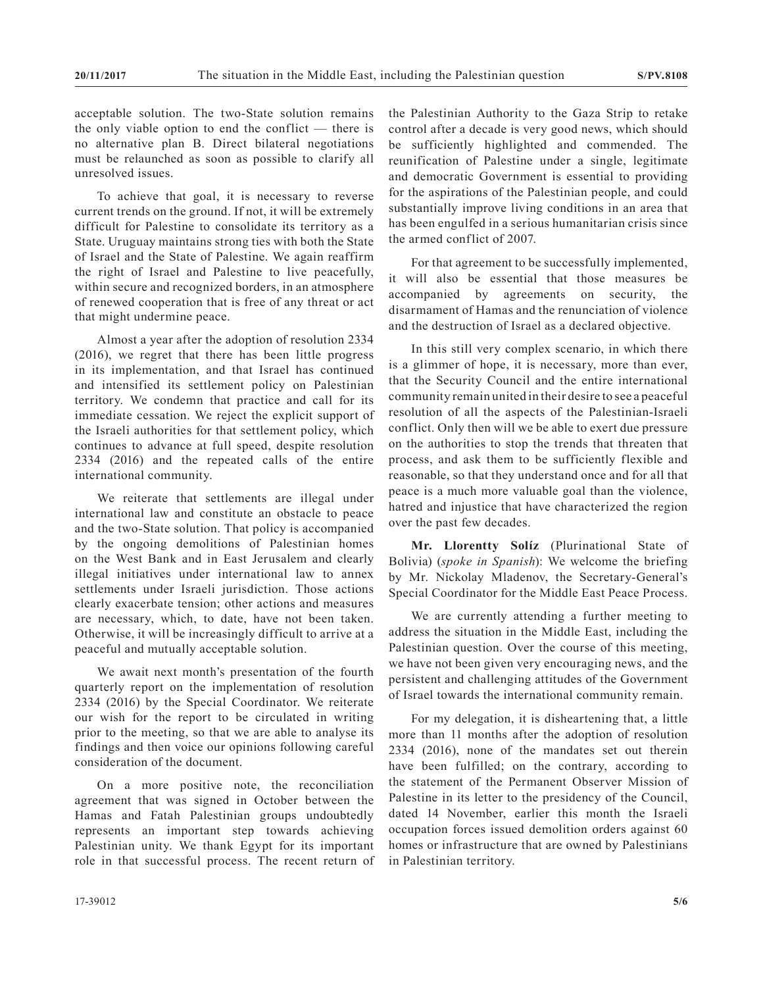acceptable solution. The two-State solution remains the only viable option to end the conflict — there is no alternative plan B. Direct bilateral negotiations must be relaunched as soon as possible to clarify all unresolved issues.

To achieve that goal, it is necessary to reverse current trends on the ground. If not, it will be extremely difficult for Palestine to consolidate its territory as a State. Uruguay maintains strong ties with both the State of Israel and the State of Palestine. We again reaffirm the right of Israel and Palestine to live peacefully, within secure and recognized borders, in an atmosphere of renewed cooperation that is free of any threat or act that might undermine peace.

Almost a year after the adoption of resolution 2334 (2016), we regret that there has been little progress in its implementation, and that Israel has continued and intensified its settlement policy on Palestinian territory. We condemn that practice and call for its immediate cessation. We reject the explicit support of the Israeli authorities for that settlement policy, which continues to advance at full speed, despite resolution 2334 (2016) and the repeated calls of the entire international community.

We reiterate that settlements are illegal under international law and constitute an obstacle to peace and the two-State solution. That policy is accompanied by the ongoing demolitions of Palestinian homes on the West Bank and in East Jerusalem and clearly illegal initiatives under international law to annex settlements under Israeli jurisdiction. Those actions clearly exacerbate tension; other actions and measures are necessary, which, to date, have not been taken. Otherwise, it will be increasingly difficult to arrive at a peaceful and mutually acceptable solution.

We await next month's presentation of the fourth quarterly report on the implementation of resolution 2334 (2016) by the Special Coordinator. We reiterate our wish for the report to be circulated in writing prior to the meeting, so that we are able to analyse its findings and then voice our opinions following careful consideration of the document.

On a more positive note, the reconciliation agreement that was signed in October between the Hamas and Fatah Palestinian groups undoubtedly represents an important step towards achieving Palestinian unity. We thank Egypt for its important role in that successful process. The recent return of the Palestinian Authority to the Gaza Strip to retake control after a decade is very good news, which should be sufficiently highlighted and commended. The reunification of Palestine under a single, legitimate and democratic Government is essential to providing for the aspirations of the Palestinian people, and could substantially improve living conditions in an area that has been engulfed in a serious humanitarian crisis since the armed conflict of 2007.

For that agreement to be successfully implemented, it will also be essential that those measures be accompanied by agreements on security, the disarmament of Hamas and the renunciation of violence and the destruction of Israel as a declared objective.

In this still very complex scenario, in which there is a glimmer of hope, it is necessary, more than ever, that the Security Council and the entire international community remain united in their desire to see a peaceful resolution of all the aspects of the Palestinian-Israeli conflict. Only then will we be able to exert due pressure on the authorities to stop the trends that threaten that process, and ask them to be sufficiently flexible and reasonable, so that they understand once and for all that peace is a much more valuable goal than the violence, hatred and injustice that have characterized the region over the past few decades.

**Mr. Llorentty Solíz** (Plurinational State of Bolivia) (*spoke in Spanish*): We welcome the briefing by Mr. Nickolay Mladenov, the Secretary-General's Special Coordinator for the Middle East Peace Process.

We are currently attending a further meeting to address the situation in the Middle East, including the Palestinian question. Over the course of this meeting, we have not been given very encouraging news, and the persistent and challenging attitudes of the Government of Israel towards the international community remain.

For my delegation, it is disheartening that, a little more than 11 months after the adoption of resolution 2334 (2016), none of the mandates set out therein have been fulfilled; on the contrary, according to the statement of the Permanent Observer Mission of Palestine in its letter to the presidency of the Council, dated 14 November, earlier this month the Israeli occupation forces issued demolition orders against 60 homes or infrastructure that are owned by Palestinians in Palestinian territory.